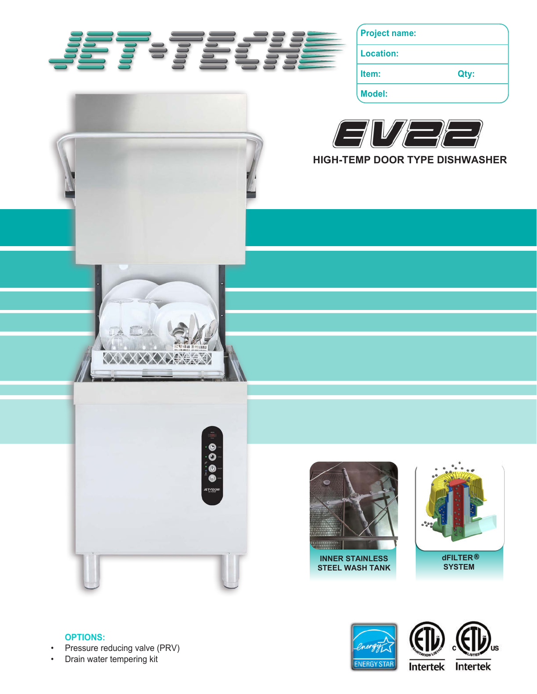

**Project name:**

**Location:**

**Item: Qty:**

**Model:**



**HIGH-TEMP DOOR TYPE DISHWASHER**







**STEEL WASH TANK**



## **OPTIONS:**

- Pressure reducing valve (PRV)
- Drain water tempering kit